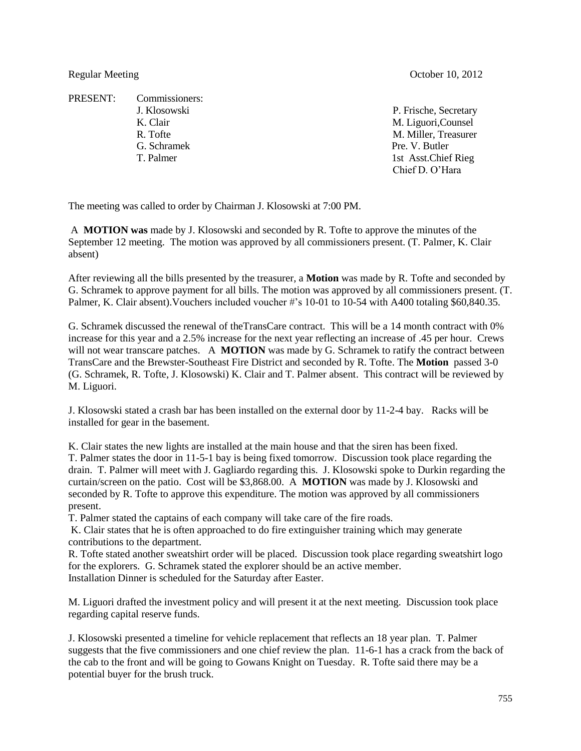PRESENT: Commissioners: G. Schramek Pre. V. Butler

Regular Meeting Corollace Contract Contract Contract Contract Contract Contract October 10, 2012

J. Klosowski P. Frische, Secretary K. Clair M. Liguori, Counsel R. Tofte M. Miller, Treasurer T. Palmer 1st Asst.Chief Rieg Chief D. O'Hara

The meeting was called to order by Chairman J. Klosowski at 7:00 PM.

A **MOTION was** made by J. Klosowski and seconded by R. Tofte to approve the minutes of the September 12 meeting. The motion was approved by all commissioners present. (T. Palmer, K. Clair absent)

After reviewing all the bills presented by the treasurer, a **Motion** was made by R. Tofte and seconded by G. Schramek to approve payment for all bills. The motion was approved by all commissioners present. (T. Palmer, K. Clair absent). Vouchers included voucher #'s 10-01 to 10-54 with A400 totaling \$60,840.35.

G. Schramek discussed the renewal of theTransCare contract. This will be a 14 month contract with 0% increase for this year and a 2.5% increase for the next year reflecting an increase of .45 per hour. Crews will not wear transcare patches. A **MOTION** was made by G. Schramek to ratify the contract between TransCare and the Brewster-Southeast Fire District and seconded by R. Tofte. The **Motion** passed 3-0 (G. Schramek, R. Tofte, J. Klosowski) K. Clair and T. Palmer absent. This contract will be reviewed by M. Liguori.

J. Klosowski stated a crash bar has been installed on the external door by 11-2-4 bay. Racks will be installed for gear in the basement.

K. Clair states the new lights are installed at the main house and that the siren has been fixed. T. Palmer states the door in 11-5-1 bay is being fixed tomorrow. Discussion took place regarding the drain. T. Palmer will meet with J. Gagliardo regarding this. J. Klosowski spoke to Durkin regarding the curtain/screen on the patio. Cost will be \$3,868.00. A **MOTION** was made by J. Klosowski and seconded by R. Tofte to approve this expenditure. The motion was approved by all commissioners present.

T. Palmer stated the captains of each company will take care of the fire roads.

K. Clair states that he is often approached to do fire extinguisher training which may generate contributions to the department.

R. Tofte stated another sweatshirt order will be placed. Discussion took place regarding sweatshirt logo for the explorers. G. Schramek stated the explorer should be an active member. Installation Dinner is scheduled for the Saturday after Easter.

M. Liguori drafted the investment policy and will present it at the next meeting. Discussion took place regarding capital reserve funds.

J. Klosowski presented a timeline for vehicle replacement that reflects an 18 year plan. T. Palmer suggests that the five commissioners and one chief review the plan. 11-6-1 has a crack from the back of the cab to the front and will be going to Gowans Knight on Tuesday. R. Tofte said there may be a potential buyer for the brush truck.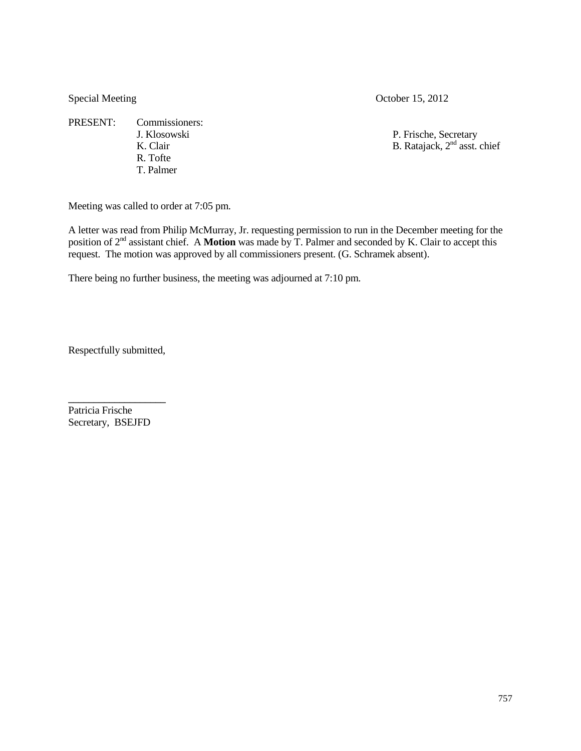PRESENT: Commissioners: R. Tofte T. Palmer

Special Meeting October 15, 2012

J. Klosowski P. Frische, Secretary K. Clair B. Ratajack,  $2<sup>nd</sup>$  asst. chief

Meeting was called to order at 7:05 pm.

A letter was read from Philip McMurray, Jr. requesting permission to run in the December meeting for the position of 2nd assistant chief. A **Motion** was made by T. Palmer and seconded by K. Clair to accept this request. The motion was approved by all commissioners present. (G. Schramek absent).

There being no further business, the meeting was adjourned at 7:10 pm.

Respectfully submitted,

\_\_\_\_\_\_\_\_\_\_\_\_\_\_\_\_\_\_\_

Patricia Frische Secretary, BSEJFD